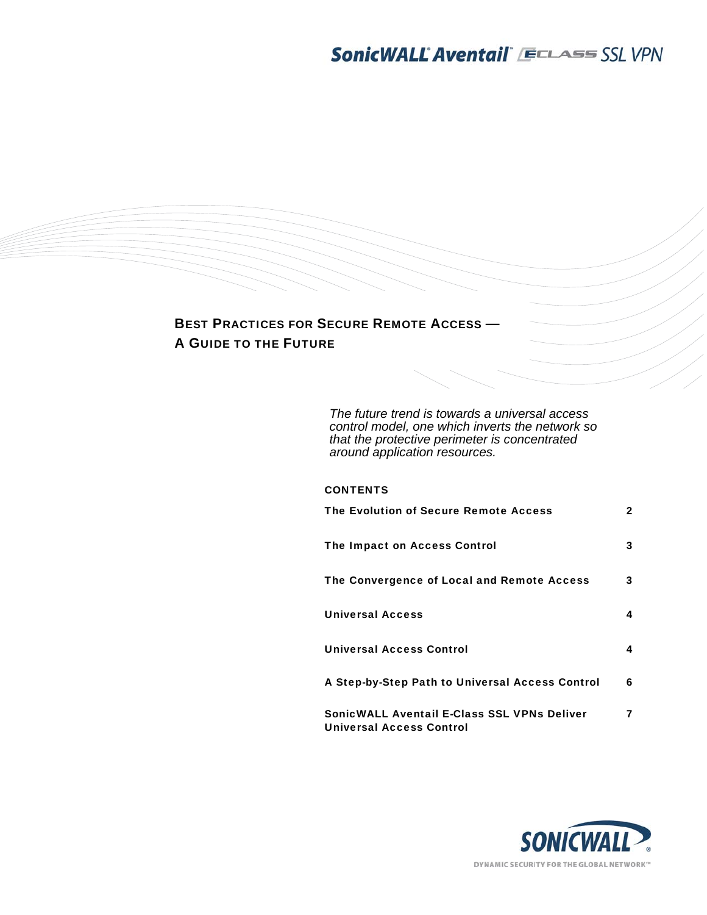

*The future trend is towards a universal access control model, one which inverts the network so that the protective perimeter is concentrated around application resources.* 

| <b>CONTENTS</b> |  |
|-----------------|--|
|-----------------|--|

| The Evolution of Secure Remote Access                                          | $\mathbf{2}$ |
|--------------------------------------------------------------------------------|--------------|
| The Impact on Access Control                                                   | 3            |
| The Convergence of Local and Remote Access                                     | 3            |
| <b>Universal Access</b>                                                        | 4            |
| <b>Universal Access Control</b>                                                | 4            |
| A Step-by-Step Path to Universal Access Control                                | 6            |
| SonicWALL Aventail E-Class SSL VPNs Deliver<br><b>Universal Access Control</b> | 7            |

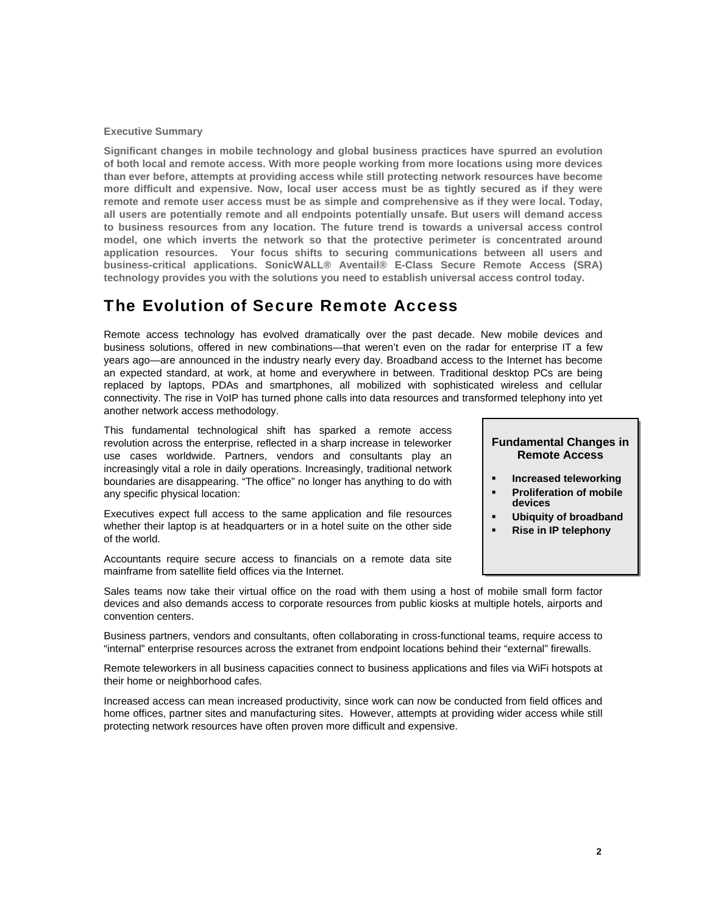### **Executive Summary**

**Significant changes in mobile technology and global business practices have spurred an evolution of both local and remote access. With more people working from more locations using more devices than ever before, attempts at providing access while still protecting network resources have become more difficult and expensive. Now, local user access must be as tightly secured as if they were remote and remote user access must be as simple and comprehensive as if they were local. Today, all users are potentially remote and all endpoints potentially unsafe. But users will demand access to business resources from any location. The future trend is towards a universal access control model, one which inverts the network so that the protective perimeter is concentrated around application resources. Your focus shifts to securing communications between all users and business-critical applications. SonicWALL® Aventail® E-Class Secure Remote Access (SRA) technology provides you with the solutions you need to establish universal access control today.** 

### The Evolution of Secure Remote Access

Remote access technology has evolved dramatically over the past decade. New mobile devices and business solutions, offered in new combinations—that weren't even on the radar for enterprise IT a few years ago—are announced in the industry nearly every day. Broadband access to the Internet has become an expected standard, at work, at home and everywhere in between. Traditional desktop PCs are being replaced by laptops, PDAs and smartphones, all mobilized with sophisticated wireless and cellular connectivity. The rise in VoIP has turned phone calls into data resources and transformed telephony into yet another network access methodology.

This fundamental technological shift has sparked a remote access revolution across the enterprise, reflected in a sharp increase in teleworker use cases worldwide. Partners, vendors and consultants play an increasingly vital a role in daily operations. Increasingly, traditional network boundaries are disappearing. "The office" no longer has anything to do with any specific physical location:

Executives expect full access to the same application and file resources whether their laptop is at headquarters or in a hotel suite on the other side of the world.

Accountants require secure access to financials on a remote data site mainframe from satellite field offices via the Internet.

### **Fundamental Changes in Remote Access**

- **Increased teleworking**
- **Proliferation of mobile devices**
- **Ubiquity of broadband**
- **Rise in IP telephony**

Sales teams now take their virtual office on the road with them using a host of mobile small form factor devices and also demands access to corporate resources from public kiosks at multiple hotels, airports and convention centers.

Business partners, vendors and consultants, often collaborating in cross-functional teams, require access to "internal" enterprise resources across the extranet from endpoint locations behind their "external" firewalls.

Remote teleworkers in all business capacities connect to business applications and files via WiFi hotspots at their home or neighborhood cafes.

Increased access can mean increased productivity, since work can now be conducted from field offices and home offices, partner sites and manufacturing sites. However, attempts at providing wider access while still protecting network resources have often proven more difficult and expensive.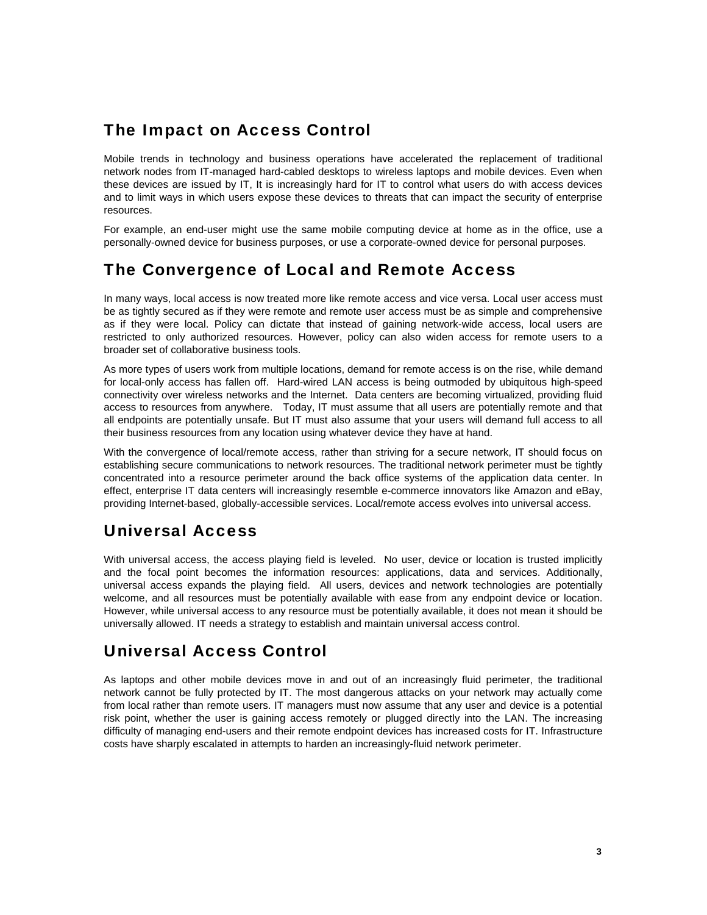## The Impact on Access Control

Mobile trends in technology and business operations have accelerated the replacement of traditional network nodes from IT-managed hard-cabled desktops to wireless laptops and mobile devices. Even when these devices are issued by IT, It is increasingly hard for IT to control what users do with access devices and to limit ways in which users expose these devices to threats that can impact the security of enterprise resources.

For example, an end-user might use the same mobile computing device at home as in the office, use a personally-owned device for business purposes, or use a corporate-owned device for personal purposes.

# The Convergence of Local and Remote Access

In many ways, local access is now treated more like remote access and vice versa. Local user access must be as tightly secured as if they were remote and remote user access must be as simple and comprehensive as if they were local. Policy can dictate that instead of gaining network-wide access, local users are restricted to only authorized resources. However, policy can also widen access for remote users to a broader set of collaborative business tools.

As more types of users work from multiple locations, demand for remote access is on the rise, while demand for local-only access has fallen off. Hard-wired LAN access is being outmoded by ubiquitous high-speed connectivity over wireless networks and the Internet. Data centers are becoming virtualized, providing fluid access to resources from anywhere. Today, IT must assume that all users are potentially remote and that all endpoints are potentially unsafe. But IT must also assume that your users will demand full access to all their business resources from any location using whatever device they have at hand.

With the convergence of local/remote access, rather than striving for a secure network, IT should focus on establishing secure communications to network resources. The traditional network perimeter must be tightly concentrated into a resource perimeter around the back office systems of the application data center. In effect, enterprise IT data centers will increasingly resemble e-commerce innovators like Amazon and eBay, providing Internet-based, globally-accessible services. Local/remote access evolves into universal access.

# Universal Access

With universal access, the access playing field is leveled. No user, device or location is trusted implicitly and the focal point becomes the information resources: applications, data and services. Additionally, universal access expands the playing field. All users, devices and network technologies are potentially welcome, and all resources must be potentially available with ease from any endpoint device or location. However, while universal access to any resource must be potentially available, it does not mean it should be universally allowed. IT needs a strategy to establish and maintain universal access control.

# Universal Access Control

As laptops and other mobile devices move in and out of an increasingly fluid perimeter, the traditional network cannot be fully protected by IT. The most dangerous attacks on your network may actually come from local rather than remote users. IT managers must now assume that any user and device is a potential risk point, whether the user is gaining access remotely or plugged directly into the LAN. The increasing difficulty of managing end-users and their remote endpoint devices has increased costs for IT. Infrastructure costs have sharply escalated in attempts to harden an increasingly-fluid network perimeter.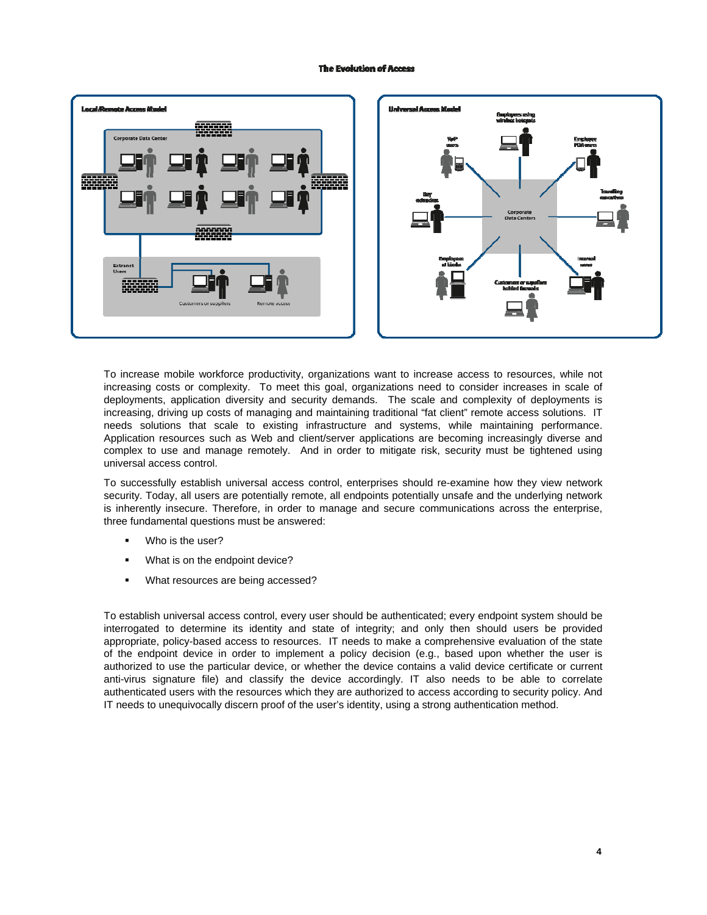#### **The Evolution of Access**



To increase mobile workforce productivity, organizations want to increase access to resources, while not increasing costs or complexity. To meet this goal, organizations need to consider increases in scale of deployments, application diversity and security demands. The scale and complexity of deployments is increasing, driving up costs of managing and maintaining traditional "fat client" remote access solutions. IT needs solutions that scale to existing infrastructure and systems, while maintaining performance. Application resources such as Web and client/server applications are becoming increasingly diverse and complex to use and manage remotely. And in order to mitigate risk, security must be tightened using universal access control.

To successfully establish universal access control, enterprises should re-examine how they view network security. Today, all users are potentially remote, all endpoints potentially unsafe and the underlying network is inherently insecure. Therefore, in order to manage and secure communications across the enterprise, three fundamental questions must be answered:

- Who is the user?
- **What is on the endpoint device?**
- **What resources are being accessed?**

To establish universal access control, every user should be authenticated; every endpoint system should be interrogated to determine its identity and state of integrity; and only then should users be provided appropriate, policy-based access to resources. IT needs to make a comprehensive evaluation of the state of the endpoint device in order to implement a policy decision (e.g., based upon whether the user is authorized to use the particular device, or whether the device contains a valid device certificate or current anti-virus signature file) and classify the device accordingly. IT also needs to be able to correlate authenticated users with the resources which they are authorized to access according to security policy. And IT needs to unequivocally discern proof of the user's identity, using a strong authentication method.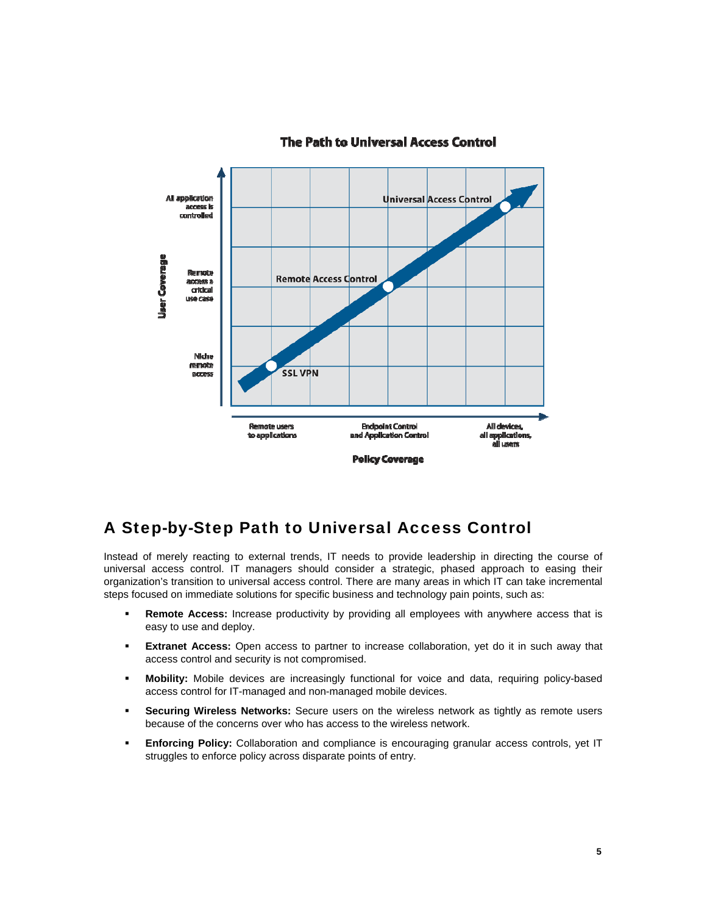

### The Path to Universal Access Control

### A Step-by-Step Path to Universal Access Control

Instead of merely reacting to external trends, IT needs to provide leadership in directing the course of universal access control. IT managers should consider a strategic, phased approach to easing their organization's transition to universal access control. There are many areas in which IT can take incremental steps focused on immediate solutions for specific business and technology pain points, such as:

- **Remote Access:** Increase productivity by providing all employees with anywhere access that is easy to use and deploy.
- **Extranet Access:** Open access to partner to increase collaboration, yet do it in such away that access control and security is not compromised.
- **Mobility:** Mobile devices are increasingly functional for voice and data, requiring policy-based access control for IT-managed and non-managed mobile devices.
- **Securing Wireless Networks:** Secure users on the wireless network as tightly as remote users because of the concerns over who has access to the wireless network.
- **Enforcing Policy:** Collaboration and compliance is encouraging granular access controls, yet IT struggles to enforce policy across disparate points of entry.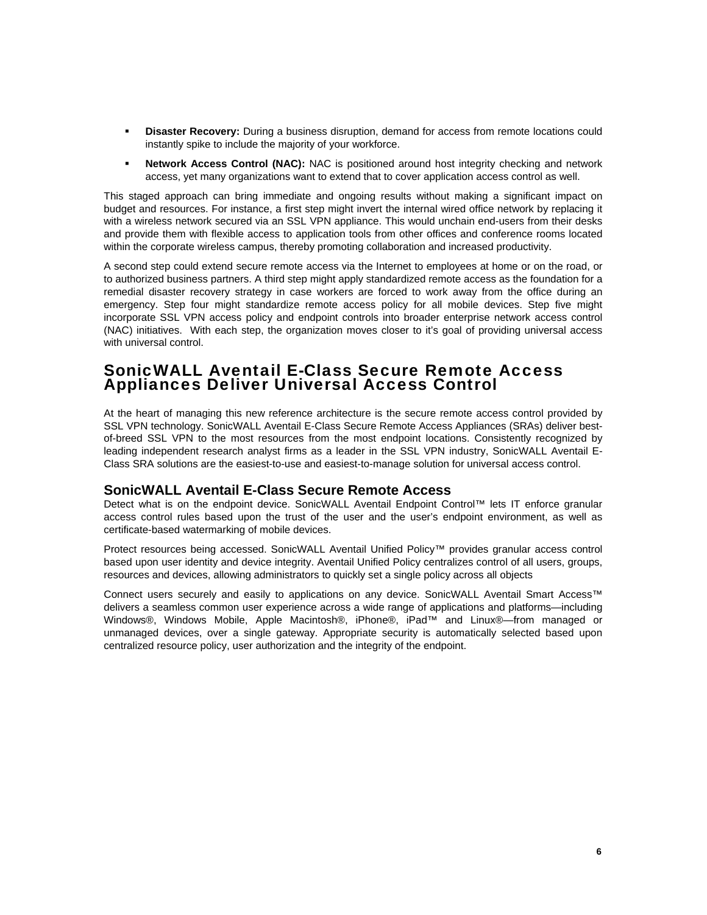- **Disaster Recovery:** During a business disruption, demand for access from remote locations could instantly spike to include the majority of your workforce.
- **Network Access Control (NAC):** NAC is positioned around host integrity checking and network access, yet many organizations want to extend that to cover application access control as well.

This staged approach can bring immediate and ongoing results without making a significant impact on budget and resources. For instance, a first step might invert the internal wired office network by replacing it with a wireless network secured via an SSL VPN appliance. This would unchain end-users from their desks and provide them with flexible access to application tools from other offices and conference rooms located within the corporate wireless campus, thereby promoting collaboration and increased productivity.

A second step could extend secure remote access via the Internet to employees at home or on the road, or to authorized business partners. A third step might apply standardized remote access as the foundation for a remedial disaster recovery strategy in case workers are forced to work away from the office during an emergency. Step four might standardize remote access policy for all mobile devices. Step five might incorporate SSL VPN access policy and endpoint controls into broader enterprise network access control (NAC) initiatives. With each step, the organization moves closer to it's goal of providing universal access with universal control.

### SonicWALL Aventail E-Class Secure Remote Access Appliances Deliver Universal Access Control

At the heart of managing this new reference architecture is the secure remote access control provided by SSL VPN technology. SonicWALL Aventail E-Class Secure Remote Access Appliances (SRAs) deliver bestof-breed SSL VPN to the most resources from the most endpoint locations. Consistently recognized by leading independent research analyst firms as a leader in the SSL VPN industry, SonicWALL Aventail E-Class SRA solutions are the easiest-to-use and easiest-to-manage solution for universal access control.

### **SonicWALL Aventail E-Class Secure Remote Access**

Detect what is on the endpoint device. SonicWALL Aventail Endpoint Control™ lets IT enforce granular access control rules based upon the trust of the user and the user's endpoint environment, as well as certificate-based watermarking of mobile devices.

Protect resources being accessed. SonicWALL Aventail Unified Policy™ provides granular access control based upon user identity and device integrity. Aventail Unified Policy centralizes control of all users, groups, resources and devices, allowing administrators to quickly set a single policy across all objects

Connect users securely and easily to applications on any device. SonicWALL Aventail Smart Access™ delivers a seamless common user experience across a wide range of applications and platforms—including Windows®, Windows Mobile, Apple Macintosh®, iPhone®, iPad™ and Linux®—from managed or unmanaged devices, over a single gateway. Appropriate security is automatically selected based upon centralized resource policy, user authorization and the integrity of the endpoint.